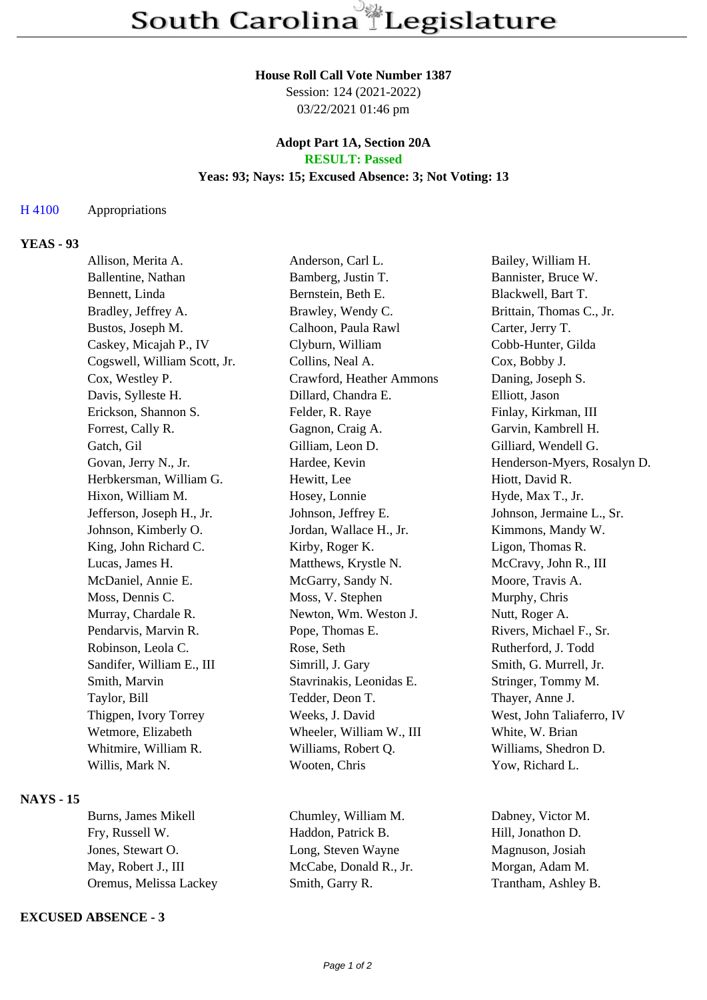#### **House Roll Call Vote Number 1387**

Session: 124 (2021-2022) 03/22/2021 01:46 pm

#### **Adopt Part 1A, Section 20A RESULT: Passed**

#### **Yeas: 93; Nays: 15; Excused Absence: 3; Not Voting: 13**

#### H 4100 Appropriations

# **YEAS - 93**

| Allison, Merita A.           | Anderson, Carl L.        | Bailey, William H.          |
|------------------------------|--------------------------|-----------------------------|
| Ballentine, Nathan           | Bamberg, Justin T.       | Bannister, Bruce W.         |
| Bennett, Linda               | Bernstein, Beth E.       | Blackwell, Bart T.          |
| Bradley, Jeffrey A.          | Brawley, Wendy C.        | Brittain, Thomas C., Jr.    |
| Bustos, Joseph M.            | Calhoon, Paula Rawl      | Carter, Jerry T.            |
| Caskey, Micajah P., IV       | Clyburn, William         | Cobb-Hunter, Gilda          |
| Cogswell, William Scott, Jr. | Collins, Neal A.         | Cox, Bobby J.               |
| Cox, Westley P.              | Crawford, Heather Ammons | Daning, Joseph S.           |
| Davis, Sylleste H.           | Dillard, Chandra E.      | Elliott, Jason              |
| Erickson, Shannon S.         | Felder, R. Raye          | Finlay, Kirkman, III        |
| Forrest, Cally R.            | Gagnon, Craig A.         | Garvin, Kambrell H.         |
| Gatch, Gil                   | Gilliam, Leon D.         | Gilliard, Wendell G.        |
| Govan, Jerry N., Jr.         | Hardee, Kevin            | Henderson-Myers, Rosalyn D. |
| Herbkersman, William G.      | Hewitt, Lee              | Hiott, David R.             |
| Hixon, William M.            | Hosey, Lonnie            | Hyde, Max T., Jr.           |
| Jefferson, Joseph H., Jr.    | Johnson, Jeffrey E.      | Johnson, Jermaine L., Sr.   |
| Johnson, Kimberly O.         | Jordan, Wallace H., Jr.  | Kimmons, Mandy W.           |
| King, John Richard C.        | Kirby, Roger K.          | Ligon, Thomas R.            |
| Lucas, James H.              | Matthews, Krystle N.     | McCravy, John R., III       |
| McDaniel, Annie E.           | McGarry, Sandy N.        | Moore, Travis A.            |
| Moss, Dennis C.              | Moss, V. Stephen         | Murphy, Chris               |
| Murray, Chardale R.          | Newton, Wm. Weston J.    | Nutt, Roger A.              |
| Pendarvis, Marvin R.         | Pope, Thomas E.          | Rivers, Michael F., Sr.     |
| Robinson, Leola C.           | Rose, Seth               | Rutherford, J. Todd         |
| Sandifer, William E., III    | Simrill, J. Gary         | Smith, G. Murrell, Jr.      |
| Smith, Marvin                | Stavrinakis, Leonidas E. | Stringer, Tommy M.          |
| Taylor, Bill                 | Tedder, Deon T.          | Thayer, Anne J.             |
| Thigpen, Ivory Torrey        | Weeks, J. David          | West, John Taliaferro, IV   |
| Wetmore, Elizabeth           | Wheeler, William W., III | White, W. Brian             |
| Whitmire, William R.         | Williams, Robert Q.      | Williams, Shedron D.        |
| Willis, Mark N.              | Wooten, Chris            | Yow, Richard L.             |
|                              |                          |                             |

## **NAYS - 15**

| Burns, James Mikell    |  |  |
|------------------------|--|--|
| Fry, Russell W.        |  |  |
| Jones, Stewart O.      |  |  |
| May, Robert J., III    |  |  |
| Oremus, Melissa Lackey |  |  |

### **EXCUSED ABSENCE - 3**

Chumley, William M. Dabney, Victor M. Haddon, Patrick B. Hill, Jonathon D. Long, Steven Wayne Magnuson, Josiah McCabe, Donald R., Jr. Morgan, Adam M. Smith, Garry R. Trantham, Ashley B.